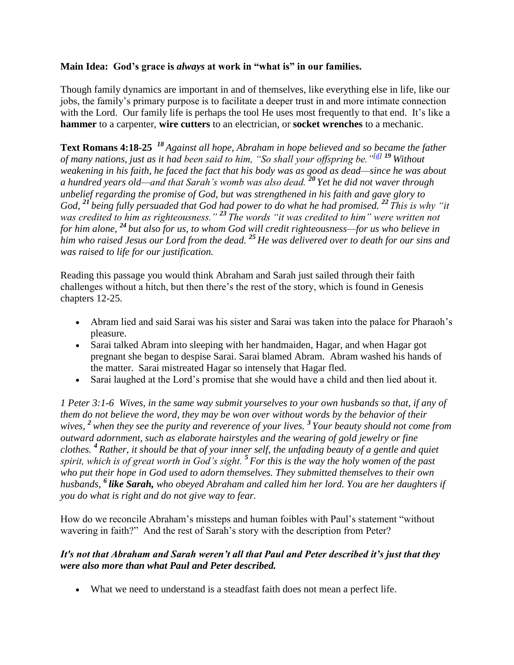## **Main Idea: God's grace is** *always* **at work in "what is" in our families.**

Though family dynamics are important in and of themselves, like everything else in life, like our jobs, the family's primary purpose is to facilitate a deeper trust in and more intimate connection with the Lord. Our family life is perhaps the tool He uses most frequently to that end. It's like a **hammer** to a carpenter, **wire cutters** to an electrician, or **socket wrenches** to a mechanic.

**Text Romans 4:18-25** *<sup>18</sup> Against all hope, Abraham in hope believed and so became the father of many nations, just as it had been said to him, "So shall your offspring be."[\[d\]](https://www.biblegateway.com/passage/?search=Romans+4&version=NIV#fen-NIV-28041d) <sup>19</sup> Without weakening in his faith, he faced the fact that his body was as good as dead—since he was about a hundred years old—and that Sarah's womb was also dead. <sup>20</sup> Yet he did not waver through unbelief regarding the promise of God, but was strengthened in his faith and gave glory to God, <sup>21</sup> being fully persuaded that God had power to do what he had promised. <sup>22</sup> This is why "it was credited to him as righteousness." <sup>23</sup> The words "it was credited to him" were written not for him alone, <sup>24</sup> but also for us, to whom God will credit righteousness—for us who believe in him who raised Jesus our Lord from the dead. <sup>25</sup> He was delivered over to death for our sins and was raised to life for our justification.*

Reading this passage you would think Abraham and Sarah just sailed through their faith challenges without a hitch, but then there's the rest of the story, which is found in Genesis chapters 12-25.

- Abram lied and said Sarai was his sister and Sarai was taken into the palace for Pharaoh's pleasure.
- Sarai talked Abram into sleeping with her handmaiden, Hagar, and when Hagar got pregnant she began to despise Sarai. Sarai blamed Abram. Abram washed his hands of the matter. Sarai mistreated Hagar so intensely that Hagar fled.
- Sarai laughed at the Lord's promise that she would have a child and then lied about it.

*1 Peter 3:1-6 Wives, in the same way submit yourselves to your own husbands so that, if any of them do not believe the word, they may be won over without words by the behavior of their wives, <sup>2</sup> when they see the purity and reverence of your lives. <sup>3</sup> Your beauty should not come from outward adornment, such as elaborate hairstyles and the wearing of gold jewelry or fine clothes. <sup>4</sup> Rather, it should be that of your inner self, the unfading beauty of a gentle and quiet spirit, which is of great worth in God's sight. <sup>5</sup> For this is the way the holy women of the past who put their hope in God used to adorn themselves. They submitted themselves to their own husbands, <sup>6</sup> like Sarah, who obeyed Abraham and called him her lord. You are her daughters if you do what is right and do not give way to fear.*

How do we reconcile Abraham's missteps and human foibles with Paul's statement "without wavering in faith?" And the rest of Sarah's story with the description from Peter?

## *It's not that Abraham and Sarah weren't all that Paul and Peter described it's just that they were also more than what Paul and Peter described.*

What we need to understand is a steadfast faith does not mean a perfect life.